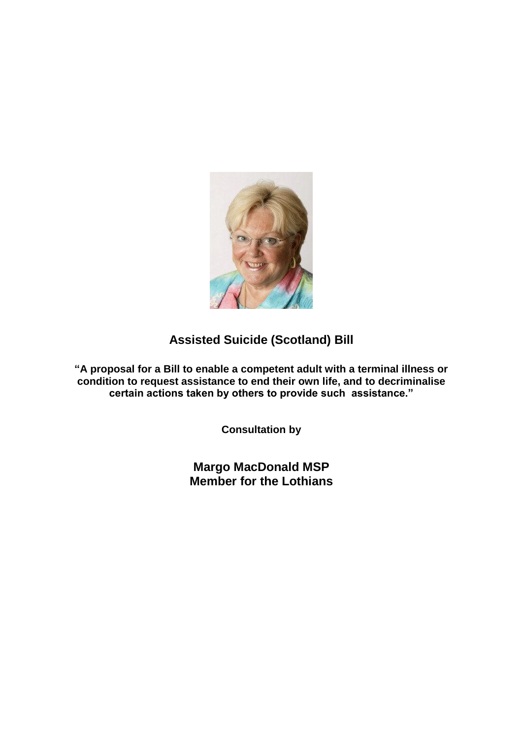

# **Assisted Suicide (Scotland) Bill**

**"A proposal for a Bill to enable a competent adult with a terminal illness or condition to request assistance to end their own life, and to decriminalise certain actions taken by others to provide such assistance."**

**Consultation by**

**Margo MacDonald MSP Member for the Lothians**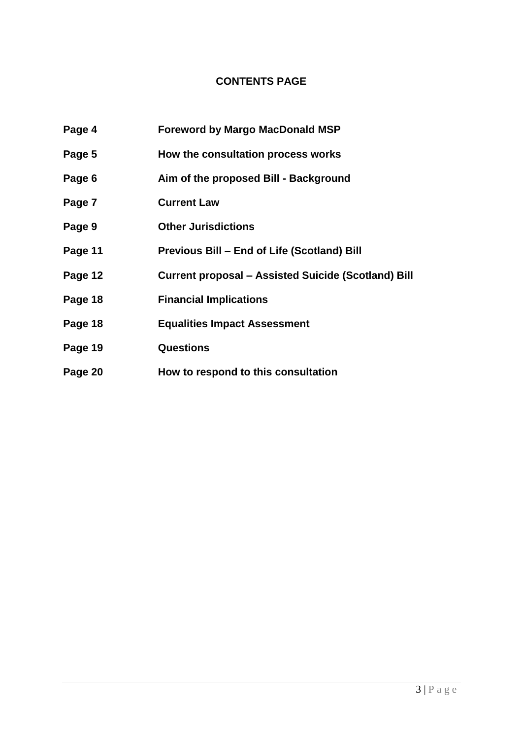# **CONTENTS PAGE**

| Page 4  | <b>Foreword by Margo MacDonald MSP</b>              |
|---------|-----------------------------------------------------|
| Page 5  | How the consultation process works                  |
| Page 6  | Aim of the proposed Bill - Background               |
| Page 7  | <b>Current Law</b>                                  |
| Page 9  | <b>Other Jurisdictions</b>                          |
| Page 11 | Previous Bill – End of Life (Scotland) Bill         |
| Page 12 | Current proposal – Assisted Suicide (Scotland) Bill |
| Page 18 | <b>Financial Implications</b>                       |
| Page 18 | <b>Equalities Impact Assessment</b>                 |
| Page 19 | <b>Questions</b>                                    |
| Page 20 | How to respond to this consultation                 |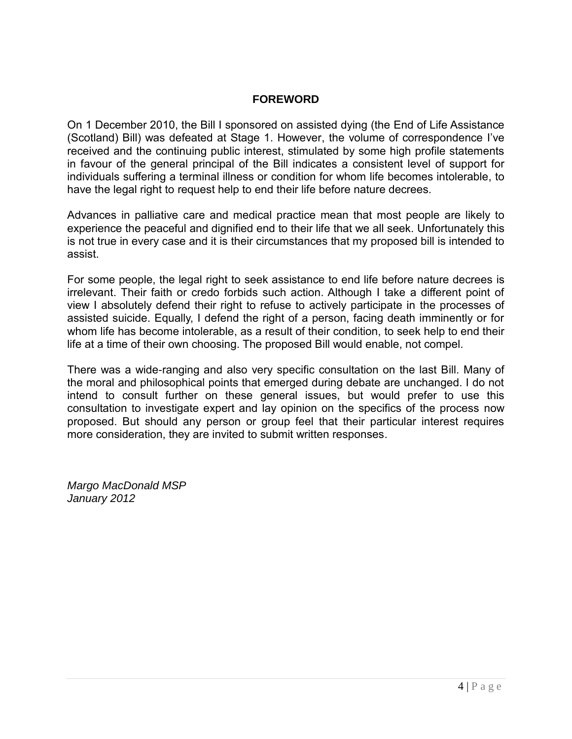### **FOREWORD**

On 1 December 2010, the Bill I sponsored on assisted dying (the End of Life Assistance (Scotland) Bill) was defeated at Stage 1. However, the volume of correspondence I"ve received and the continuing public interest, stimulated by some high profile statements in favour of the general principal of the Bill indicates a consistent level of support for individuals suffering a terminal illness or condition for whom life becomes intolerable, to have the legal right to request help to end their life before nature decrees.

Advances in palliative care and medical practice mean that most people are likely to experience the peaceful and dignified end to their life that we all seek. Unfortunately this is not true in every case and it is their circumstances that my proposed bill is intended to assist.

For some people, the legal right to seek assistance to end life before nature decrees is irrelevant. Their faith or credo forbids such action. Although I take a different point of view I absolutely defend their right to refuse to actively participate in the processes of assisted suicide. Equally, I defend the right of a person, facing death imminently or for whom life has become intolerable, as a result of their condition, to seek help to end their life at a time of their own choosing. The proposed Bill would enable, not compel.

There was a wide-ranging and also very specific consultation on the last Bill. Many of the moral and philosophical points that emerged during debate are unchanged. I do not intend to consult further on these general issues, but would prefer to use this consultation to investigate expert and lay opinion on the specifics of the process now proposed. But should any person or group feel that their particular interest requires more consideration, they are invited to submit written responses.

*Margo MacDonald MSP January 2012*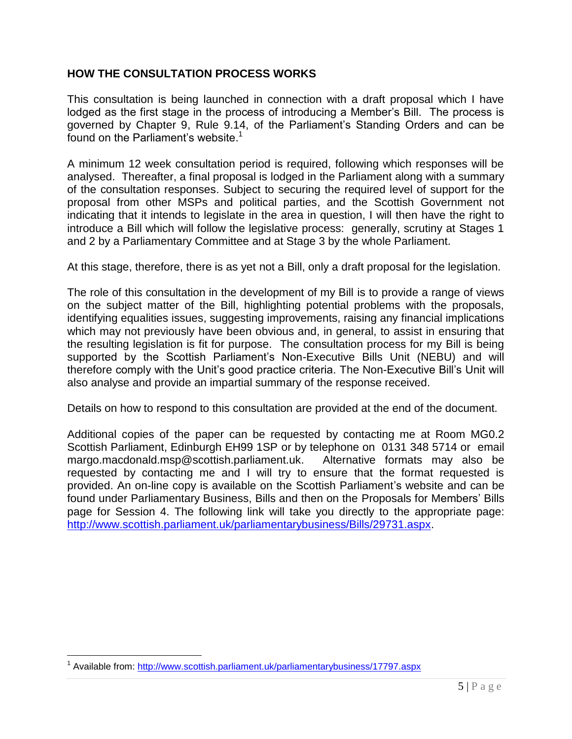### **HOW THE CONSULTATION PROCESS WORKS**

This consultation is being launched in connection with a draft proposal which I have lodged as the first stage in the process of introducing a Member's Bill. The process is governed by Chapter 9, Rule 9.14, of the Parliament"s Standing Orders and can be found on the Parliament's website.<sup>1</sup>

A minimum 12 week consultation period is required, following which responses will be analysed. Thereafter, a final proposal is lodged in the Parliament along with a summary of the consultation responses. Subject to securing the required level of support for the proposal from other MSPs and political parties, and the Scottish Government not indicating that it intends to legislate in the area in question, I will then have the right to introduce a Bill which will follow the legislative process: generally, scrutiny at Stages 1 and 2 by a Parliamentary Committee and at Stage 3 by the whole Parliament.

At this stage, therefore, there is as yet not a Bill, only a draft proposal for the legislation.

The role of this consultation in the development of my Bill is to provide a range of views on the subject matter of the Bill, highlighting potential problems with the proposals, identifying equalities issues, suggesting improvements, raising any financial implications which may not previously have been obvious and, in general, to assist in ensuring that the resulting legislation is fit for purpose. The consultation process for my Bill is being supported by the Scottish Parliament's Non-Executive Bills Unit (NEBU) and will therefore comply with the Unit"s good practice criteria. The Non-Executive Bill"s Unit will also analyse and provide an impartial summary of the response received.

Details on how to respond to this consultation are provided at the end of the document.

Additional copies of the paper can be requested by contacting me at Room MG0.2 Scottish Parliament, Edinburgh EH99 1SP or by telephone on 0131 348 5714 or email margo.macdonald.msp@scottish.parliament.uk. Alternative formats may also be requested by contacting me and I will try to ensure that the format requested is provided. An on-line copy is available on the Scottish Parliament"s website and can be found under Parliamentary Business, Bills and then on the Proposals for Members" Bills page for Session 4. The following link will take you directly to the appropriate page: [http://www.scottish.parliament.uk/parliamentarybusiness/Bills/29731.aspx.](http://www.scottish.parliament.uk/parliamentarybusiness/Bills/29731.aspx)

<sup>&</sup>lt;sup>1</sup> Available from:<http://www.scottish.parliament.uk/parliamentarybusiness/17797.aspx>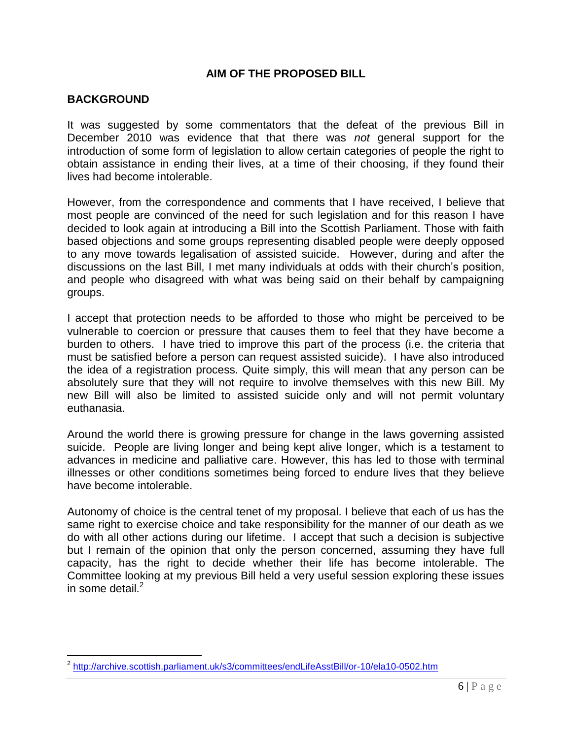### **AIM OF THE PROPOSED BILL**

#### **BACKGROUND**

 $\overline{a}$ 

It was suggested by some commentators that the defeat of the previous Bill in December 2010 was evidence that that there was *not* general support for the introduction of some form of legislation to allow certain categories of people the right to obtain assistance in ending their lives, at a time of their choosing, if they found their lives had become intolerable.

However, from the correspondence and comments that I have received, I believe that most people are convinced of the need for such legislation and for this reason I have decided to look again at introducing a Bill into the Scottish Parliament. Those with faith based objections and some groups representing disabled people were deeply opposed to any move towards legalisation of assisted suicide. However, during and after the discussions on the last Bill, I met many individuals at odds with their church"s position, and people who disagreed with what was being said on their behalf by campaigning groups.

I accept that protection needs to be afforded to those who might be perceived to be vulnerable to coercion or pressure that causes them to feel that they have become a burden to others. I have tried to improve this part of the process (i.e. the criteria that must be satisfied before a person can request assisted suicide). I have also introduced the idea of a registration process. Quite simply, this will mean that any person can be absolutely sure that they will not require to involve themselves with this new Bill. My new Bill will also be limited to assisted suicide only and will not permit voluntary euthanasia.

Around the world there is growing pressure for change in the laws governing assisted suicide. People are living longer and being kept alive longer, which is a testament to advances in medicine and palliative care. However, this has led to those with terminal illnesses or other conditions sometimes being forced to endure lives that they believe have become intolerable.

Autonomy of choice is the central tenet of my proposal. I believe that each of us has the same right to exercise choice and take responsibility for the manner of our death as we do with all other actions during our lifetime. I accept that such a decision is subjective but I remain of the opinion that only the person concerned, assuming they have full capacity, has the right to decide whether their life has become intolerable. The Committee looking at my previous Bill held a very useful session exploring these issues in some detail  $2$ 

<sup>&</sup>lt;sup>2</sup> <http://archive.scottish.parliament.uk/s3/committees/endLifeAsstBill/or-10/ela10-0502.htm>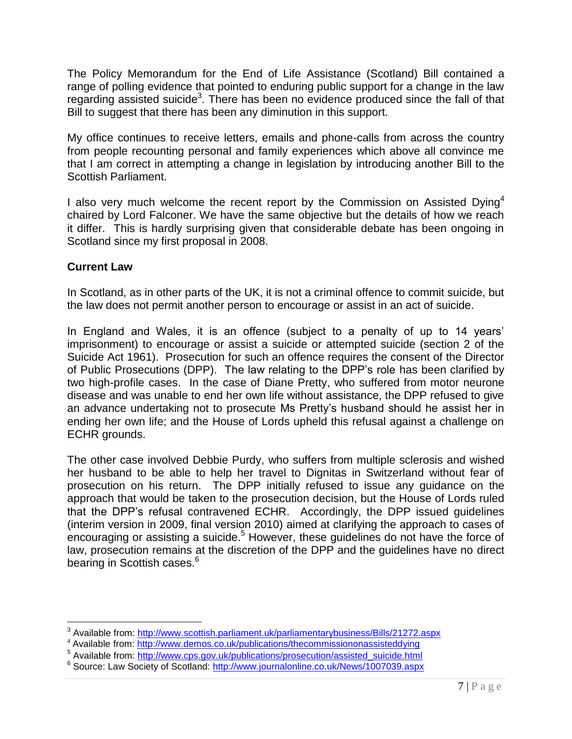The Policy Memorandum for the End of Life Assistance (Scotland) Bill contained a range of polling evidence that pointed to enduring public support for a change in the law regarding assisted suicide<sup>3</sup>. There has been no evidence produced since the fall of that Bill to suggest that there has been any diminution in this support.

My office continues to receive letters, emails and phone-calls from across the country from people recounting personal and family experiences which above all convince me that I am correct in attempting a change in legislation by introducing another Bill to the Scottish Parliament.

I also very much welcome the recent report by the Commission on Assisted Dying<sup>4</sup> chaired by Lord Falconer. We have the same objective but the details of how we reach it differ. This is hardly surprising given that considerable debate has been ongoing in Scotland since my first proposal in 2008.

### **Current Law**

 $\overline{a}$ 

In Scotland, as in other parts of the UK, it is not a criminal offence to commit suicide, but the law does not permit another person to encourage or assist in an act of suicide.

In England and Wales, it is an offence (subject to a penalty of up to 14 years' imprisonment) to encourage or assist a suicide or attempted suicide (section 2 of the Suicide Act 1961). Prosecution for such an offence requires the consent of the Director of Public Prosecutions (DPP). The law relating to the DPP"s role has been clarified by two high-profile cases. In the case of Diane Pretty, who suffered from motor neurone disease and was unable to end her own life without assistance, the DPP refused to give an advance undertaking not to prosecute Ms Pretty"s husband should he assist her in ending her own life; and the House of Lords upheld this refusal against a challenge on ECHR grounds.

The other case involved Debbie Purdy, who suffers from multiple sclerosis and wished her husband to be able to help her travel to Dignitas in Switzerland without fear of prosecution on his return. The DPP initially refused to issue any guidance on the approach that would be taken to the prosecution decision, but the House of Lords ruled that the DPP"s refusal contravened ECHR. Accordingly, the DPP issued guidelines (interim version in 2009, final version 2010) aimed at clarifying the approach to cases of encouraging or assisting a suicide.<sup>5</sup> However, these guidelines do not have the force of law, prosecution remains at the discretion of the DPP and the guidelines have no direct bearing in Scottish cases.<sup>6</sup>

<sup>&</sup>lt;sup>3</sup> Available from:<http://www.scottish.parliament.uk/parliamentarybusiness/Bills/21272.aspx>

<sup>4</sup> Available from:<http://www.demos.co.uk/publications/thecommissiononassisteddying>

<sup>&</sup>lt;sup>5</sup> Available from: [http://www.cps.gov.uk/publications/prosecution/assisted\\_suicide.html](http://www.cps.gov.uk/publications/prosecution/assisted_suicide.html)

<sup>&</sup>lt;sup>6</sup> Source: Law Society of Scotland:<http://www.journalonline.co.uk/News/1007039.aspx>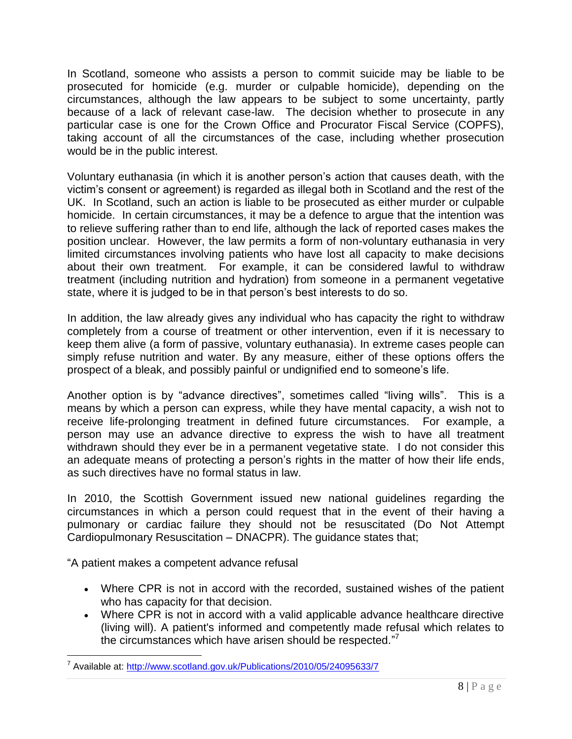In Scotland, someone who assists a person to commit suicide may be liable to be prosecuted for homicide (e.g. murder or culpable homicide), depending on the circumstances, although the law appears to be subject to some uncertainty, partly because of a lack of relevant case-law. The decision whether to prosecute in any particular case is one for the Crown Office and Procurator Fiscal Service (COPFS), taking account of all the circumstances of the case, including whether prosecution would be in the public interest.

Voluntary euthanasia (in which it is another person"s action that causes death, with the victim"s consent or agreement) is regarded as illegal both in Scotland and the rest of the UK. In Scotland, such an action is liable to be prosecuted as either murder or culpable homicide. In certain circumstances, it may be a defence to argue that the intention was to relieve suffering rather than to end life, although the lack of reported cases makes the position unclear. However, the law permits a form of non-voluntary euthanasia in very limited circumstances involving patients who have lost all capacity to make decisions about their own treatment. For example, it can be considered lawful to withdraw treatment (including nutrition and hydration) from someone in a permanent vegetative state, where it is judged to be in that person's best interests to do so.

In addition, the law already gives any individual who has capacity the right to withdraw completely from a course of treatment or other intervention, even if it is necessary to keep them alive (a form of passive, voluntary euthanasia). In extreme cases people can simply refuse nutrition and water. By any measure, either of these options offers the prospect of a bleak, and possibly painful or undignified end to someone"s life.

Another option is by "advance directives", sometimes called "living wills". This is a means by which a person can express, while they have mental capacity, a wish not to receive life-prolonging treatment in defined future circumstances. For example, a person may use an advance directive to express the wish to have all treatment withdrawn should they ever be in a permanent vegetative state. I do not consider this an adequate means of protecting a person's rights in the matter of how their life ends, as such directives have no formal status in law.

In 2010, the Scottish Government issued new national guidelines regarding the circumstances in which a person could request that in the event of their having a pulmonary or cardiac failure they should not be resuscitated (Do Not Attempt Cardiopulmonary Resuscitation – DNACPR). The guidance states that;

"A patient makes a competent advance refusal

- Where CPR is not in accord with the recorded, sustained wishes of the patient who has capacity for that decision.
- Where CPR is not in accord with a valid applicable advance healthcare directive (living will). A patient's informed and competently made refusal which relates to the circumstances which have arisen should be respected."7

<sup>&</sup>lt;sup>7</sup> Available at:<http://www.scotland.gov.uk/Publications/2010/05/24095633/7>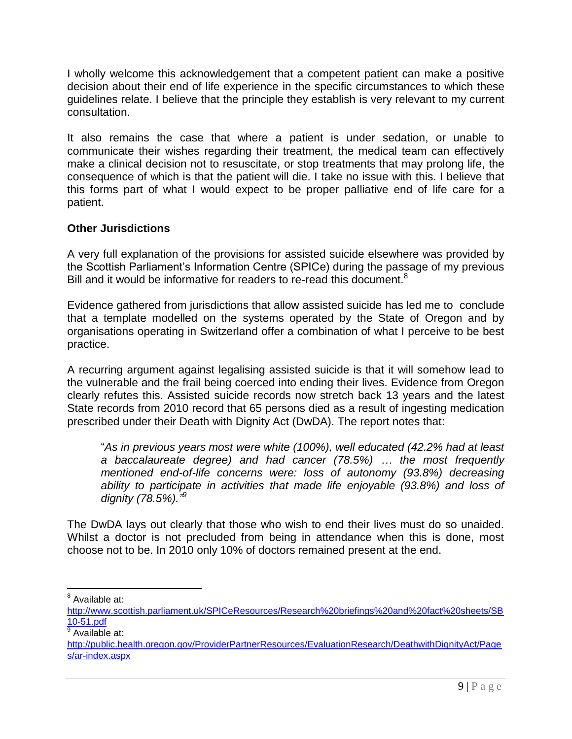I wholly welcome this acknowledgement that a competent patient can make a positive decision about their end of life experience in the specific circumstances to which these guidelines relate. I believe that the principle they establish is very relevant to my current consultation.

It also remains the case that where a patient is under sedation, or unable to communicate their wishes regarding their treatment, the medical team can effectively make a clinical decision not to resuscitate, or stop treatments that may prolong life, the consequence of which is that the patient will die. I take no issue with this. I believe that this forms part of what I would expect to be proper palliative end of life care for a patient.

# **Other Jurisdictions**

A very full explanation of the provisions for assisted suicide elsewhere was provided by the Scottish Parliament"s Information Centre (SPICe) during the passage of my previous Bill and it would be informative for readers to re-read this document.<sup>8</sup>

Evidence gathered from jurisdictions that allow assisted suicide has led me to conclude that a template modelled on the systems operated by the State of Oregon and by organisations operating in Switzerland offer a combination of what I perceive to be best practice.

A recurring argument against legalising assisted suicide is that it will somehow lead to the vulnerable and the frail being coerced into ending their lives. Evidence from Oregon clearly refutes this. Assisted suicide records now stretch back 13 years and the latest State records from 2010 record that 65 persons died as a result of ingesting medication prescribed under their Death with Dignity Act (DwDA). The report notes that:

"*As in previous years most were white (100%), well educated (42.2% had at least a baccalaureate degree) and had cancer (78.5%) … the most frequently mentioned end-of-life concerns were: loss of autonomy (93.8%) decreasing ability to participate in activities that made life enjoyable (93.8%) and loss of dignity (78.5%)." 9*

The DwDA lays out clearly that those who wish to end their lives must do so unaided. Whilst a doctor is not precluded from being in attendance when this is done, most choose not to be. In 2010 only 10% of doctors remained present at the end.

<sup>8</sup> Available at:

[http://www.scottish.parliament.uk/SPICeResources/Research%20briefings%20and%20fact%20sheets/SB](http://www.scottish.parliament.uk/SPICeResources/Research%20briefings%20and%20fact%20sheets/SB10-51.pdf) [10-51.pdf](http://www.scottish.parliament.uk/SPICeResources/Research%20briefings%20and%20fact%20sheets/SB10-51.pdf)

<sup>&</sup>lt;sup>9</sup> Available at:

[http://public.health.oregon.gov/ProviderPartnerResources/EvaluationResearch/DeathwithDignityAct/Page](http://public.health.oregon.gov/ProviderPartnerResources/EvaluationResearch/DeathwithDignityAct/Pages/ar-index.aspx) [s/ar-index.aspx](http://public.health.oregon.gov/ProviderPartnerResources/EvaluationResearch/DeathwithDignityAct/Pages/ar-index.aspx)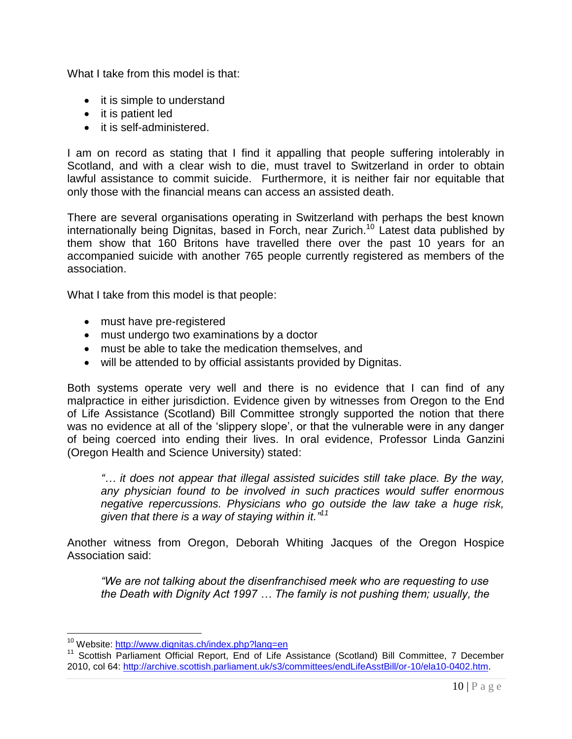What I take from this model is that:

- it is simple to understand
- it is patient led
- it is self-administered.

I am on record as stating that I find it appalling that people suffering intolerably in Scotland, and with a clear wish to die, must travel to Switzerland in order to obtain lawful assistance to commit suicide. Furthermore, it is neither fair nor equitable that only those with the financial means can access an assisted death.

There are several organisations operating in Switzerland with perhaps the best known internationally being Dignitas, based in Forch, near Zurich.<sup>10</sup> Latest data published by them show that 160 Britons have travelled there over the past 10 years for an accompanied suicide with another 765 people currently registered as members of the association.

What I take from this model is that people:

- must have pre-registered
- must undergo two examinations by a doctor
- must be able to take the medication themselves, and
- will be attended to by official assistants provided by Dignitas.

Both systems operate very well and there is no evidence that I can find of any malpractice in either jurisdiction. Evidence given by witnesses from Oregon to the End of Life Assistance (Scotland) Bill Committee strongly supported the notion that there was no evidence at all of the 'slippery slope', or that the vulnerable were in any danger of being coerced into ending their lives. In oral evidence, Professor Linda Ganzini (Oregon Health and Science University) stated:

*"… it does not appear that illegal assisted suicides still take place. By the way, any physician found to be involved in such practices would suffer enormous negative repercussions. Physicians who go outside the law take a huge risk, given that there is a way of staying within it." 11*

Another witness from Oregon, Deborah Whiting Jacques of the Oregon Hospice Association said:

*"We are not talking about the disenfranchised meek who are requesting to use the Death with Dignity Act 1997 … The family is not pushing them; usually, the* 

<sup>&</sup>lt;sup>10</sup> Website:<http://www.dignitas.ch/index.php?lang=en>

<sup>&</sup>lt;sup>11</sup> Scottish Parliament Official Report, End of Life Assistance (Scotland) Bill Committee, 7 December 2010, col 64: [http://archive.scottish.parliament.uk/s3/committees/endLifeAsstBill/or-10/ela10-0402.htm.](http://archive.scottish.parliament.uk/s3/committees/endLifeAsstBill/or-10/ela10-0402.htm)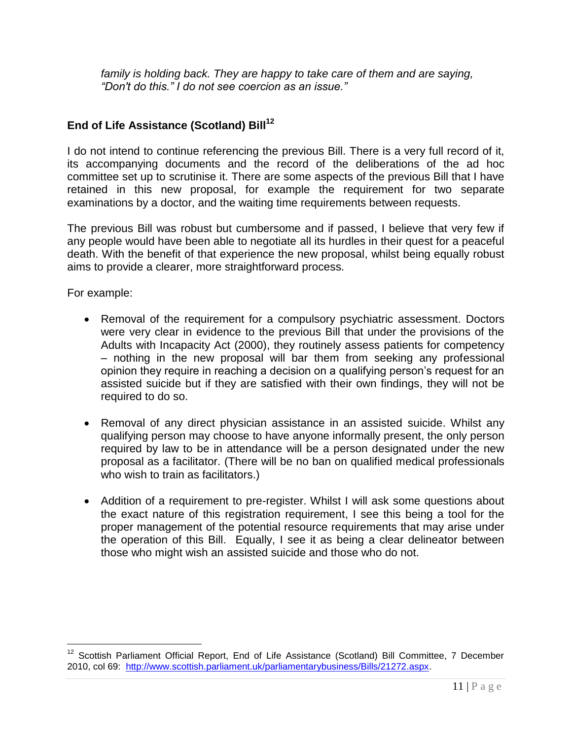*family is holding back. They are happy to take care of them and are saying, "Don't do this." I do not see coercion as an issue."* 

# **End of Life Assistance (Scotland) Bill<sup>12</sup>**

I do not intend to continue referencing the previous Bill. There is a very full record of it, its accompanying documents and the record of the deliberations of the ad hoc committee set up to scrutinise it. There are some aspects of the previous Bill that I have retained in this new proposal, for example the requirement for two separate examinations by a doctor, and the waiting time requirements between requests.

The previous Bill was robust but cumbersome and if passed, I believe that very few if any people would have been able to negotiate all its hurdles in their quest for a peaceful death. With the benefit of that experience the new proposal, whilst being equally robust aims to provide a clearer, more straightforward process.

For example:

- Removal of the requirement for a compulsory psychiatric assessment. Doctors were very clear in evidence to the previous Bill that under the provisions of the Adults with Incapacity Act (2000), they routinely assess patients for competency – nothing in the new proposal will bar them from seeking any professional opinion they require in reaching a decision on a qualifying person"s request for an assisted suicide but if they are satisfied with their own findings, they will not be required to do so.
- Removal of any direct physician assistance in an assisted suicide. Whilst any qualifying person may choose to have anyone informally present, the only person required by law to be in attendance will be a person designated under the new proposal as a facilitator. (There will be no ban on qualified medical professionals who wish to train as facilitators.)
- Addition of a requirement to pre-register. Whilst I will ask some questions about the exact nature of this registration requirement, I see this being a tool for the proper management of the potential resource requirements that may arise under the operation of this Bill. Equally, I see it as being a clear delineator between those who might wish an assisted suicide and those who do not.

<sup>&</sup>lt;sup>12</sup> Scottish Parliament Official Report, End of Life Assistance (Scotland) Bill Committee, 7 December 2010, col 69: [http://www.scottish.parliament.uk/parliamentarybusiness/Bills/21272.aspx.](http://www.scottish.parliament.uk/parliamentarybusiness/Bills/21272.aspx)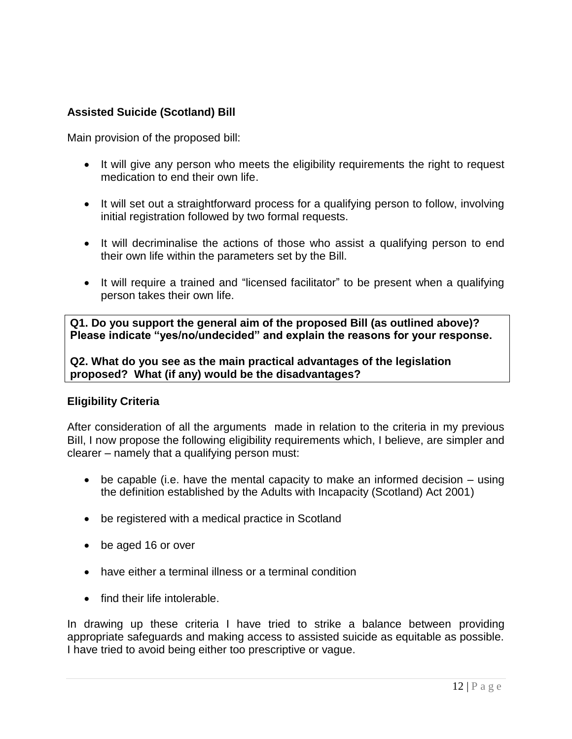# **Assisted Suicide (Scotland) Bill**

Main provision of the proposed bill:

- It will give any person who meets the eligibility requirements the right to request medication to end their own life.
- It will set out a straightforward process for a qualifying person to follow, involving initial registration followed by two formal requests.
- It will decriminalise the actions of those who assist a qualifying person to end their own life within the parameters set by the Bill.
- It will require a trained and "licensed facilitator" to be present when a qualifying person takes their own life.

**Q1. Do you support the general aim of the proposed Bill (as outlined above)? Please indicate "yes/no/undecided" and explain the reasons for your response.**

**Q2. What do you see as the main practical advantages of the legislation proposed? What (if any) would be the disadvantages?**

### **Eligibility Criteria**

After consideration of all the arguments made in relation to the criteria in my previous BiIl, I now propose the following eligibility requirements which, I believe, are simpler and clearer – namely that a qualifying person must:

- $\bullet$  be capable (i.e. have the mental capacity to make an informed decision  $-$  using the definition established by the Adults with Incapacity (Scotland) Act 2001)
- be registered with a medical practice in Scotland
- be aged 16 or over
- have either a terminal illness or a terminal condition
- find their life intolerable.

In drawing up these criteria I have tried to strike a balance between providing appropriate safeguards and making access to assisted suicide as equitable as possible. I have tried to avoid being either too prescriptive or vague.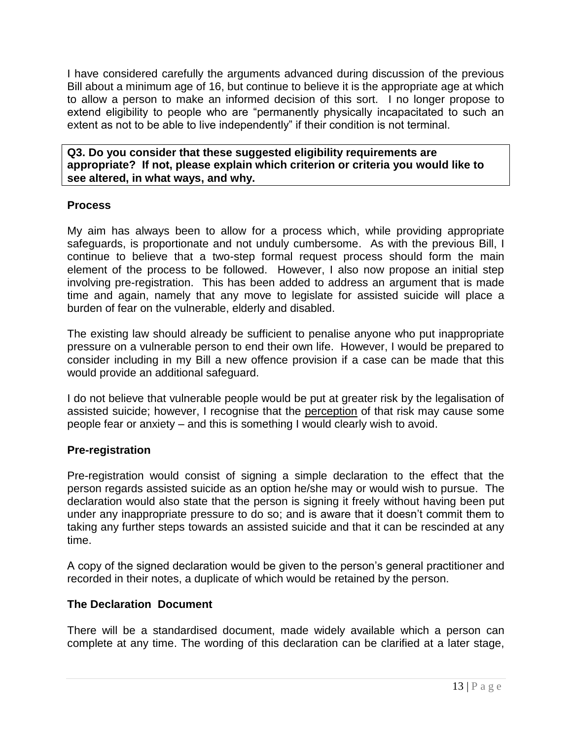I have considered carefully the arguments advanced during discussion of the previous Bill about a minimum age of 16, but continue to believe it is the appropriate age at which to allow a person to make an informed decision of this sort. I no longer propose to extend eligibility to people who are "permanently physically incapacitated to such an extent as not to be able to live independently" if their condition is not terminal.

**Q3. Do you consider that these suggested eligibility requirements are appropriate? If not, please explain which criterion or criteria you would like to see altered, in what ways, and why.**

### **Process**

My aim has always been to allow for a process which, while providing appropriate safeguards, is proportionate and not unduly cumbersome. As with the previous Bill, I continue to believe that a two-step formal request process should form the main element of the process to be followed. However, I also now propose an initial step involving pre-registration. This has been added to address an argument that is made time and again, namely that any move to legislate for assisted suicide will place a burden of fear on the vulnerable, elderly and disabled.

The existing law should already be sufficient to penalise anyone who put inappropriate pressure on a vulnerable person to end their own life. However, I would be prepared to consider including in my Bill a new offence provision if a case can be made that this would provide an additional safeguard.

I do not believe that vulnerable people would be put at greater risk by the legalisation of assisted suicide; however, I recognise that the perception of that risk may cause some people fear or anxiety – and this is something I would clearly wish to avoid.

### **Pre-registration**

Pre-registration would consist of signing a simple declaration to the effect that the person regards assisted suicide as an option he/she may or would wish to pursue. The declaration would also state that the person is signing it freely without having been put under any inappropriate pressure to do so; and is aware that it doesn"t commit them to taking any further steps towards an assisted suicide and that it can be rescinded at any time.

A copy of the signed declaration would be given to the person"s general practitioner and recorded in their notes, a duplicate of which would be retained by the person.

### **The Declaration Document**

There will be a standardised document, made widely available which a person can complete at any time. The wording of this declaration can be clarified at a later stage,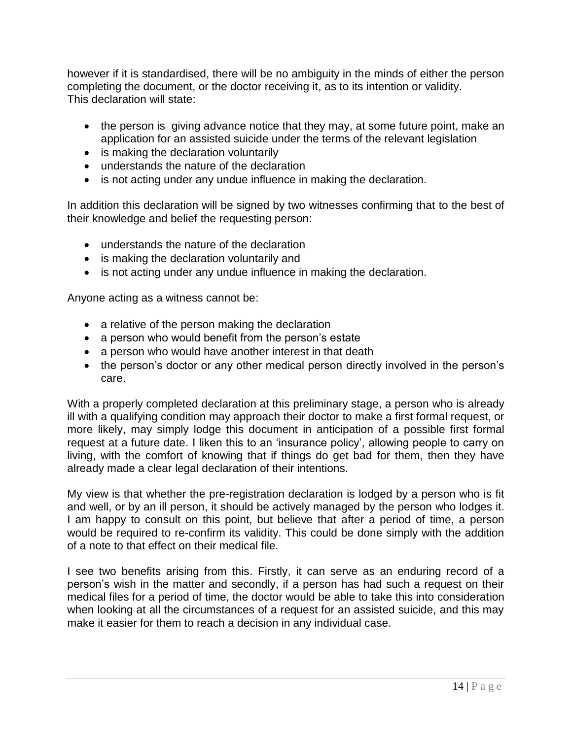however if it is standardised, there will be no ambiguity in the minds of either the person completing the document, or the doctor receiving it, as to its intention or validity. This declaration will state:

- the person is giving advance notice that they may, at some future point, make an application for an assisted suicide under the terms of the relevant legislation
- is making the declaration voluntarily
- understands the nature of the declaration
- is not acting under any undue influence in making the declaration.

In addition this declaration will be signed by two witnesses confirming that to the best of their knowledge and belief the requesting person:

- understands the nature of the declaration
- is making the declaration voluntarily and
- is not acting under any undue influence in making the declaration.

Anyone acting as a witness cannot be:

- a relative of the person making the declaration
- a person who would benefit from the person's estate
- a person who would have another interest in that death
- the person's doctor or any other medical person directly involved in the person's care.

With a properly completed declaration at this preliminary stage, a person who is already ill with a qualifying condition may approach their doctor to make a first formal request, or more likely, may simply lodge this document in anticipation of a possible first formal request at a future date. I liken this to an "insurance policy", allowing people to carry on living, with the comfort of knowing that if things do get bad for them, then they have already made a clear legal declaration of their intentions.

My view is that whether the pre-registration declaration is lodged by a person who is fit and well, or by an ill person, it should be actively managed by the person who lodges it. I am happy to consult on this point, but believe that after a period of time, a person would be required to re-confirm its validity. This could be done simply with the addition of a note to that effect on their medical file.

I see two benefits arising from this. Firstly, it can serve as an enduring record of a person"s wish in the matter and secondly, if a person has had such a request on their medical files for a period of time, the doctor would be able to take this into consideration when looking at all the circumstances of a request for an assisted suicide, and this may make it easier for them to reach a decision in any individual case.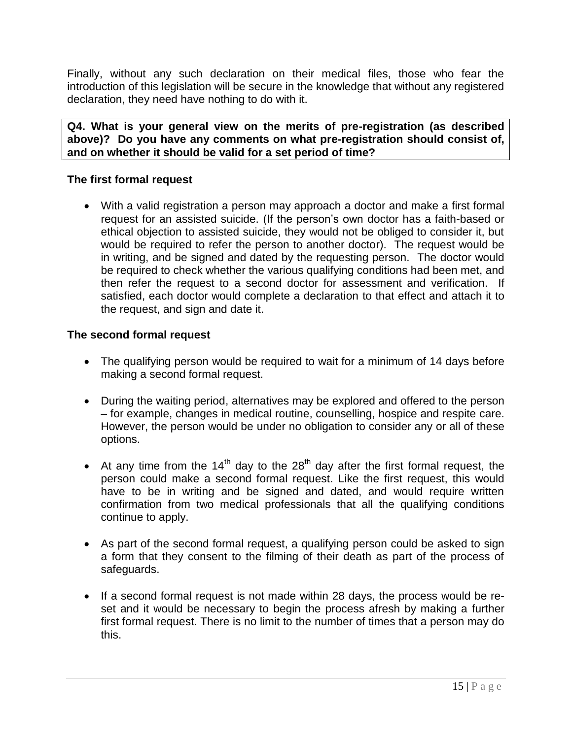Finally, without any such declaration on their medical files, those who fear the introduction of this legislation will be secure in the knowledge that without any registered declaration, they need have nothing to do with it.

**Q4. What is your general view on the merits of pre-registration (as described above)? Do you have any comments on what pre-registration should consist of, and on whether it should be valid for a set period of time?**

# **The first formal request**

 With a valid registration a person may approach a doctor and make a first formal request for an assisted suicide. (If the person"s own doctor has a faith-based or ethical objection to assisted suicide, they would not be obliged to consider it, but would be required to refer the person to another doctor). The request would be in writing, and be signed and dated by the requesting person. The doctor would be required to check whether the various qualifying conditions had been met, and then refer the request to a second doctor for assessment and verification. If satisfied, each doctor would complete a declaration to that effect and attach it to the request, and sign and date it.

# **The second formal request**

- The qualifying person would be required to wait for a minimum of 14 days before making a second formal request.
- During the waiting period, alternatives may be explored and offered to the person – for example, changes in medical routine, counselling, hospice and respite care. However, the person would be under no obligation to consider any or all of these options.
- At any time from the  $14<sup>th</sup>$  day to the 28<sup>th</sup> day after the first formal request, the person could make a second formal request. Like the first request, this would have to be in writing and be signed and dated, and would require written confirmation from two medical professionals that all the qualifying conditions continue to apply.
- As part of the second formal request, a qualifying person could be asked to sign a form that they consent to the filming of their death as part of the process of safeguards.
- If a second formal request is not made within 28 days, the process would be reset and it would be necessary to begin the process afresh by making a further first formal request. There is no limit to the number of times that a person may do this.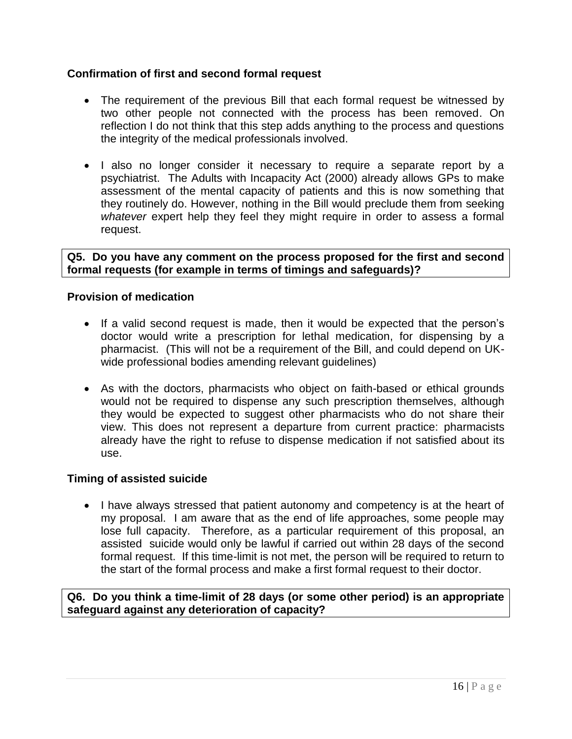### **Confirmation of first and second formal request**

- The requirement of the previous Bill that each formal request be witnessed by two other people not connected with the process has been removed. On reflection I do not think that this step adds anything to the process and questions the integrity of the medical professionals involved.
- I also no longer consider it necessary to require a separate report by a psychiatrist. The Adults with Incapacity Act (2000) already allows GPs to make assessment of the mental capacity of patients and this is now something that they routinely do. However, nothing in the Bill would preclude them from seeking *whatever* expert help they feel they might require in order to assess a formal request.

**Q5. Do you have any comment on the process proposed for the first and second formal requests (for example in terms of timings and safeguards)?**

### **Provision of medication**

- If a valid second request is made, then it would be expected that the person's doctor would write a prescription for lethal medication, for dispensing by a pharmacist. (This will not be a requirement of the Bill, and could depend on UKwide professional bodies amending relevant guidelines)
- As with the doctors, pharmacists who object on faith-based or ethical grounds would not be required to dispense any such prescription themselves, although they would be expected to suggest other pharmacists who do not share their view. This does not represent a departure from current practice: pharmacists already have the right to refuse to dispense medication if not satisfied about its use.

### **Timing of assisted suicide**

• I have always stressed that patient autonomy and competency is at the heart of my proposal. I am aware that as the end of life approaches, some people may lose full capacity. Therefore, as a particular requirement of this proposal, an assisted suicide would only be lawful if carried out within 28 days of the second formal request. If this time-limit is not met, the person will be required to return to the start of the formal process and make a first formal request to their doctor.

**Q6. Do you think a time-limit of 28 days (or some other period) is an appropriate safeguard against any deterioration of capacity?**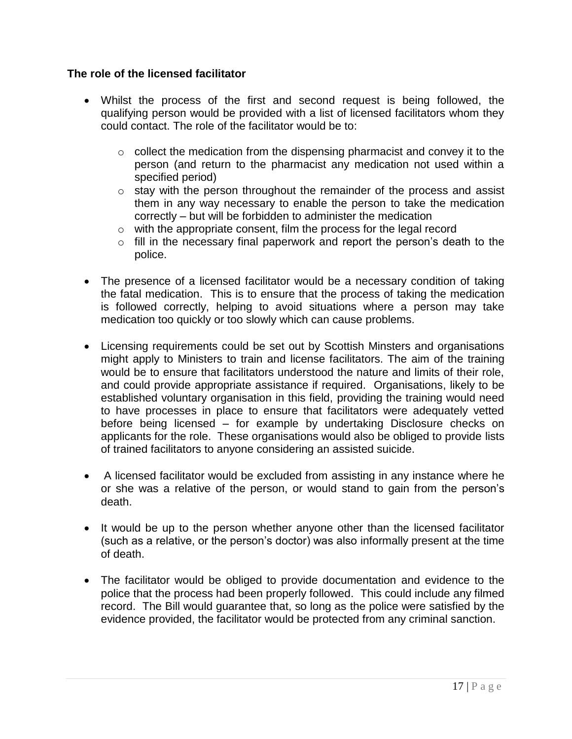### **The role of the licensed facilitator**

- Whilst the process of the first and second request is being followed, the qualifying person would be provided with a list of licensed facilitators whom they could contact. The role of the facilitator would be to:
	- $\circ$  collect the medication from the dispensing pharmacist and convey it to the person (and return to the pharmacist any medication not used within a specified period)
	- o stay with the person throughout the remainder of the process and assist them in any way necessary to enable the person to take the medication correctly – but will be forbidden to administer the medication
	- o with the appropriate consent, film the process for the legal record
	- $\circ$  fill in the necessary final paperwork and report the person's death to the police.
- The presence of a licensed facilitator would be a necessary condition of taking the fatal medication. This is to ensure that the process of taking the medication is followed correctly, helping to avoid situations where a person may take medication too quickly or too slowly which can cause problems.
- Licensing requirements could be set out by Scottish Minsters and organisations might apply to Ministers to train and license facilitators. The aim of the training would be to ensure that facilitators understood the nature and limits of their role, and could provide appropriate assistance if required. Organisations, likely to be established voluntary organisation in this field, providing the training would need to have processes in place to ensure that facilitators were adequately vetted before being licensed – for example by undertaking Disclosure checks on applicants for the role. These organisations would also be obliged to provide lists of trained facilitators to anyone considering an assisted suicide.
- A licensed facilitator would be excluded from assisting in any instance where he or she was a relative of the person, or would stand to gain from the person"s death.
- It would be up to the person whether anyone other than the licensed facilitator (such as a relative, or the person"s doctor) was also informally present at the time of death.
- The facilitator would be obliged to provide documentation and evidence to the police that the process had been properly followed. This could include any filmed record. The Bill would guarantee that, so long as the police were satisfied by the evidence provided, the facilitator would be protected from any criminal sanction.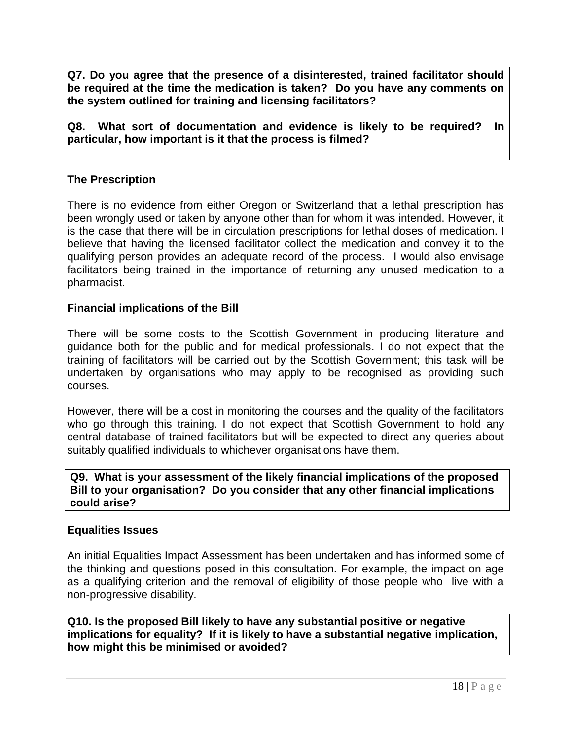**Q7. Do you agree that the presence of a disinterested, trained facilitator should be required at the time the medication is taken? Do you have any comments on the system outlined for training and licensing facilitators?**

**Q8. What sort of documentation and evidence is likely to be required? In particular, how important is it that the process is filmed?**

### **The Prescription**

There is no evidence from either Oregon or Switzerland that a lethal prescription has been wrongly used or taken by anyone other than for whom it was intended. However, it is the case that there will be in circulation prescriptions for lethal doses of medication. I believe that having the licensed facilitator collect the medication and convey it to the qualifying person provides an adequate record of the process. I would also envisage facilitators being trained in the importance of returning any unused medication to a pharmacist.

#### **Financial implications of the Bill**

There will be some costs to the Scottish Government in producing literature and guidance both for the public and for medical professionals. I do not expect that the training of facilitators will be carried out by the Scottish Government; this task will be undertaken by organisations who may apply to be recognised as providing such courses.

However, there will be a cost in monitoring the courses and the quality of the facilitators who go through this training. I do not expect that Scottish Government to hold any central database of trained facilitators but will be expected to direct any queries about suitably qualified individuals to whichever organisations have them.

### **Q9. What is your assessment of the likely financial implications of the proposed Bill to your organisation? Do you consider that any other financial implications could arise?**

#### **Equalities Issues**

An initial Equalities Impact Assessment has been undertaken and has informed some of the thinking and questions posed in this consultation. For example, the impact on age as a qualifying criterion and the removal of eligibility of those people who live with a non-progressive disability.

**Q10. Is the proposed Bill likely to have any substantial positive or negative implications for equality? If it is likely to have a substantial negative implication, how might this be minimised or avoided?**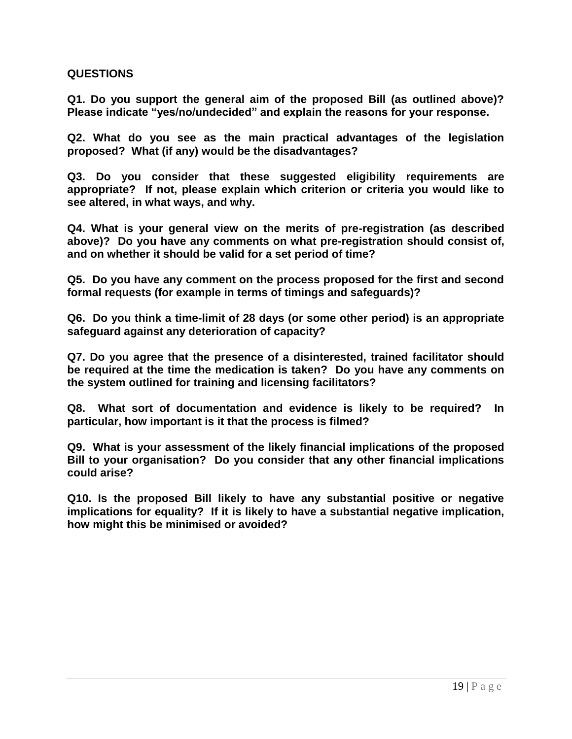#### **QUESTIONS**

**Q1. Do you support the general aim of the proposed Bill (as outlined above)? Please indicate "yes/no/undecided" and explain the reasons for your response.**

**Q2. What do you see as the main practical advantages of the legislation proposed? What (if any) would be the disadvantages?**

**Q3. Do you consider that these suggested eligibility requirements are appropriate? If not, please explain which criterion or criteria you would like to see altered, in what ways, and why.**

**Q4. What is your general view on the merits of pre-registration (as described above)? Do you have any comments on what pre-registration should consist of, and on whether it should be valid for a set period of time?**

**Q5. Do you have any comment on the process proposed for the first and second formal requests (for example in terms of timings and safeguards)?**

**Q6. Do you think a time-limit of 28 days (or some other period) is an appropriate safeguard against any deterioration of capacity?**

**Q7. Do you agree that the presence of a disinterested, trained facilitator should be required at the time the medication is taken? Do you have any comments on the system outlined for training and licensing facilitators?**

**Q8. What sort of documentation and evidence is likely to be required? In particular, how important is it that the process is filmed?**

**Q9. What is your assessment of the likely financial implications of the proposed Bill to your organisation? Do you consider that any other financial implications could arise?**

**Q10. Is the proposed Bill likely to have any substantial positive or negative implications for equality? If it is likely to have a substantial negative implication, how might this be minimised or avoided?**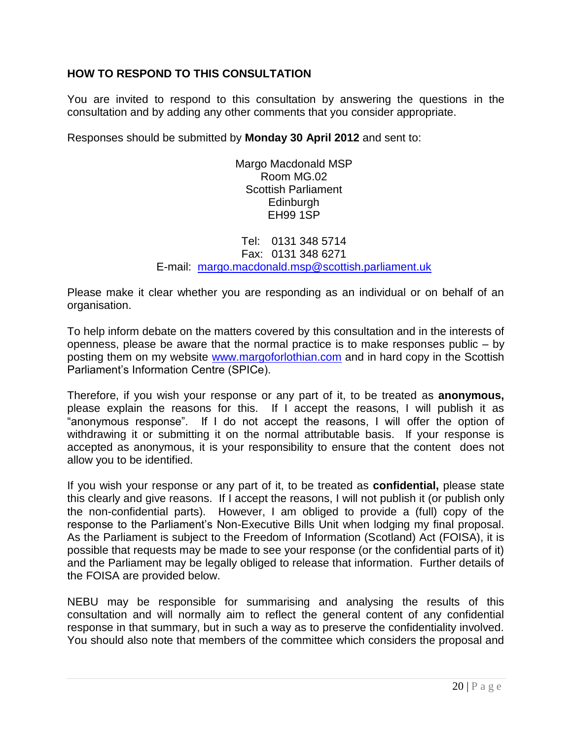### **HOW TO RESPOND TO THIS CONSULTATION**

You are invited to respond to this consultation by answering the questions in the consultation and by adding any other comments that you consider appropriate.

Responses should be submitted by **Monday 30 April 2012** and sent to:

Margo Macdonald MSP Room MG.02 Scottish Parliament Edinburgh EH99 1SP

Tel: 0131 348 5714 Fax: 0131 348 6271 E-mail: [margo.macdonald.msp@scottish.parliament.uk](mailto:margo.macdonald.msp@scottish.parliament.uk)

Please make it clear whether you are responding as an individual or on behalf of an organisation.

To help inform debate on the matters covered by this consultation and in the interests of openness, please be aware that the normal practice is to make responses public – by posting them on my website [www.margoforlothian.com](http://www.margoforlothian.com/) and in hard copy in the Scottish Parliament"s Information Centre (SPICe).

Therefore, if you wish your response or any part of it, to be treated as **anonymous,** please explain the reasons for this. If I accept the reasons, I will publish it as "anonymous response". If I do not accept the reasons, I will offer the option of withdrawing it or submitting it on the normal attributable basis. If your response is accepted as anonymous, it is your responsibility to ensure that the content does not allow you to be identified.

If you wish your response or any part of it, to be treated as **confidential,** please state this clearly and give reasons. If I accept the reasons, I will not publish it (or publish only the non-confidential parts). However, I am obliged to provide a (full) copy of the response to the Parliament"s Non-Executive Bills Unit when lodging my final proposal. As the Parliament is subject to the Freedom of Information (Scotland) Act (FOISA), it is possible that requests may be made to see your response (or the confidential parts of it) and the Parliament may be legally obliged to release that information. Further details of the FOISA are provided below.

NEBU may be responsible for summarising and analysing the results of this consultation and will normally aim to reflect the general content of any confidential response in that summary, but in such a way as to preserve the confidentiality involved. You should also note that members of the committee which considers the proposal and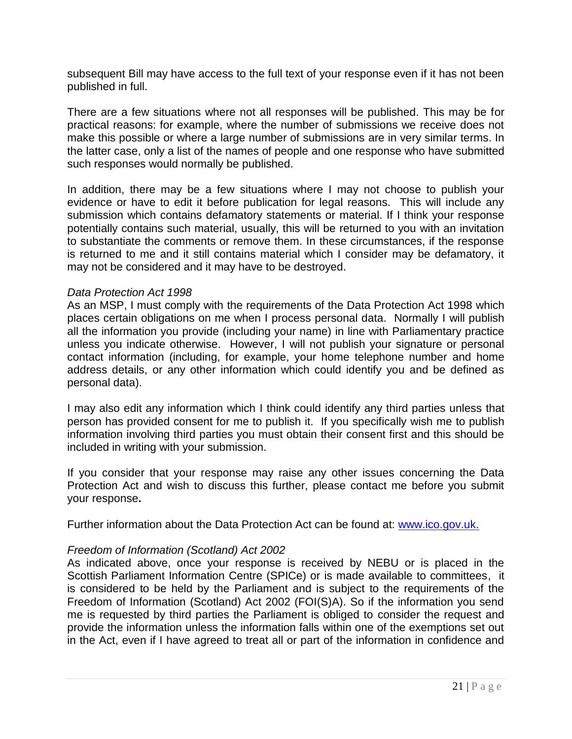subsequent Bill may have access to the full text of your response even if it has not been published in full.

There are a few situations where not all responses will be published. This may be for practical reasons: for example, where the number of submissions we receive does not make this possible or where a large number of submissions are in very similar terms. In the latter case, only a list of the names of people and one response who have submitted such responses would normally be published.

In addition, there may be a few situations where I may not choose to publish your evidence or have to edit it before publication for legal reasons. This will include any submission which contains defamatory statements or material. If I think your response potentially contains such material, usually, this will be returned to you with an invitation to substantiate the comments or remove them. In these circumstances, if the response is returned to me and it still contains material which I consider may be defamatory, it may not be considered and it may have to be destroyed.

#### *Data Protection Act 1998*

As an MSP, I must comply with the requirements of the Data Protection Act 1998 which places certain obligations on me when I process personal data. Normally I will publish all the information you provide (including your name) in line with Parliamentary practice unless you indicate otherwise. However, I will not publish your signature or personal contact information (including, for example, your home telephone number and home address details, or any other information which could identify you and be defined as personal data).

I may also edit any information which I think could identify any third parties unless that person has provided consent for me to publish it. If you specifically wish me to publish information involving third parties you must obtain their consent first and this should be included in writing with your submission.

If you consider that your response may raise any other issues concerning the Data Protection Act and wish to discuss this further, please contact me before you submit your response**.**

Further information about the Data Protection Act can be found at: [www.ico.gov.uk.](http://www.ico.gov.uk/)

#### *Freedom of Information (Scotland) Act 2002*

As indicated above, once your response is received by NEBU or is placed in the Scottish Parliament Information Centre (SPICe) or is made available to committees, it is considered to be held by the Parliament and is subject to the requirements of the Freedom of Information (Scotland) Act 2002 (FOI(S)A). So if the information you send me is requested by third parties the Parliament is obliged to consider the request and provide the information unless the information falls within one of the exemptions set out in the Act, even if I have agreed to treat all or part of the information in confidence and